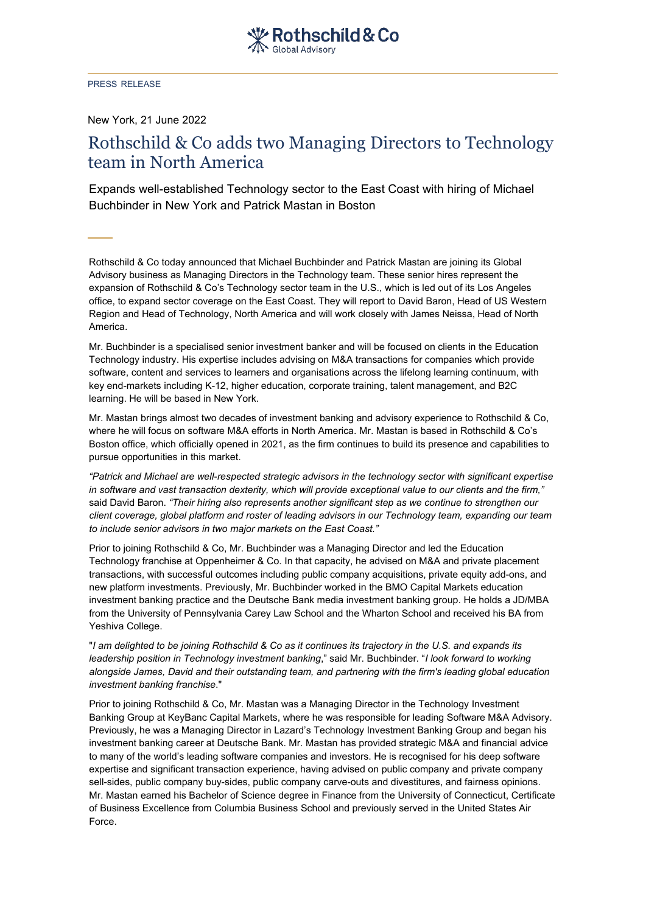PRESS RELEASE

New York, 21 June 2022

## Rothschild & Co adds two Managing Directors to Technology team in North America

Expands well-established Technology sector to the East Coast with hiring of Michael Buchbinder in New York and Patrick Mastan in Boston

Rothschild & Co today announced that Michael Buchbinder and Patrick Mastan are joining its Global Advisory business as Managing Directors in the Technology team. These senior hires represent the expansion of Rothschild & Co's Technology sector team in the U.S., which is led out of its Los Angeles office, to expand sector coverage on the East Coast. They will report to David Baron, Head of US Western Region and Head of Technology, North America and will work closely with James Neissa, Head of North America.

Mr. Buchbinder is a specialised senior investment banker and will be focused on clients in the Education Technology industry. His expertise includes advising on M&A transactions for companies which provide software, content and services to learners and organisations across the lifelong learning continuum, with key end-markets including K-12, higher education, corporate training, talent management, and B2C learning. He will be based in New York.

Mr. Mastan brings almost two decades of investment banking and advisory experience to Rothschild & Co, where he will focus on software M&A efforts in North America. Mr. Mastan is based in Rothschild & Co's Boston office, which officially opened in 2021, as the firm continues to build its presence and capabilities to pursue opportunities in this market.

*"Patrick and Michael are well-respected strategic advisors in the technology sector with significant expertise in software and vast transaction dexterity, which will provide exceptional value to our clients and the firm,"* said David Baron. *"Their hiring also represents another significant step as we continue to strengthen our client coverage, global platform and roster of leading advisors in our Technology team, expanding our team to include senior advisors in two major markets on the East Coast."*

Prior to joining Rothschild & Co, Mr. Buchbinder was a Managing Director and led the Education Technology franchise at Oppenheimer & Co. In that capacity, he advised on M&A and private placement transactions, with successful outcomes including public company acquisitions, private equity add-ons, and new platform investments. Previously, Mr. Buchbinder worked in the BMO Capital Markets education investment banking practice and the Deutsche Bank media investment banking group. He holds a JD/MBA from the University of Pennsylvania Carey Law School and the Wharton School and received his BA from Yeshiva College.

"*I am delighted to be joining Rothschild & Co as it continues its trajectory in the U.S. and expands its leadership position in Technology investment banking*," said Mr. Buchbinder. "*I look forward to working alongside James, David and their outstanding team, and partnering with the firm's leading global education investment banking franchise*."

Prior to joining Rothschild & Co, Mr. Mastan was a Managing Director in the Technology Investment Banking Group at KeyBanc Capital Markets, where he was responsible for leading Software M&A Advisory. Previously, he was a Managing Director in Lazard's Technology Investment Banking Group and began his investment banking career at Deutsche Bank. Mr. Mastan has provided strategic M&A and financial advice to many of the world's leading software companies and investors. He is recognised for his deep software expertise and significant transaction experience, having advised on public company and private company sell-sides, public company buy-sides, public company carve-outs and divestitures, and fairness opinions. Mr. Mastan earned his Bachelor of Science degree in Finance from the University of Connecticut, Certificate of Business Excellence from Columbia Business School and previously served in the United States Air Force.